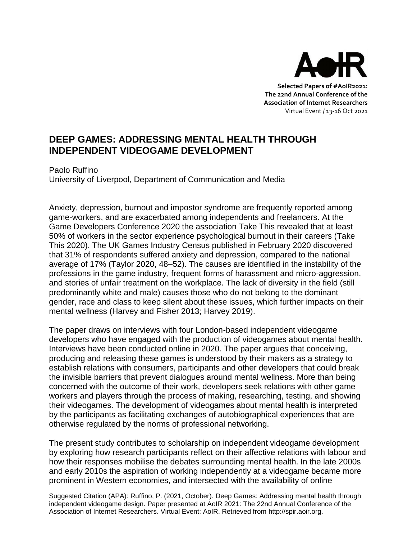

**Selected Papers of #AoIR2021: The 22nd Annual Conference of the Association of Internet Researchers** Virtual Event / 13-16 Oct 2021

## **DEEP GAMES: ADDRESSING MENTAL HEALTH THROUGH INDEPENDENT VIDEOGAME DEVELOPMENT**

Paolo Ruffino University of Liverpool, Department of Communication and Media

Anxiety, depression, burnout and impostor syndrome are frequently reported among game-workers, and are exacerbated among independents and freelancers. At the Game Developers Conference 2020 the association Take This revealed that at least 50% of workers in the sector experience psychological burnout in their careers (Take This 2020). The UK Games Industry Census published in February 2020 discovered that 31% of respondents suffered anxiety and depression, compared to the national average of 17% (Taylor 2020, 48–52). The causes are identified in the instability of the professions in the game industry, frequent forms of harassment and micro-aggression, and stories of unfair treatment on the workplace. The lack of diversity in the field (still predominantly white and male) causes those who do not belong to the dominant gender, race and class to keep silent about these issues, which further impacts on their mental wellness (Harvey and Fisher 2013; Harvey 2019).

The paper draws on interviews with four London-based independent videogame developers who have engaged with the production of videogames about mental health. Interviews have been conducted online in 2020. The paper argues that conceiving, producing and releasing these games is understood by their makers as a strategy to establish relations with consumers, participants and other developers that could break the invisible barriers that prevent dialogues around mental wellness. More than being concerned with the outcome of their work, developers seek relations with other game workers and players through the process of making, researching, testing, and showing their videogames. The development of videogames about mental health is interpreted by the participants as facilitating exchanges of autobiographical experiences that are otherwise regulated by the norms of professional networking.

The present study contributes to scholarship on independent videogame development by exploring how research participants reflect on their affective relations with labour and how their responses mobilise the debates surrounding mental health. In the late 2000s and early 2010s the aspiration of working independently at a videogame became more prominent in Western economies, and intersected with the availability of online

Suggested Citation (APA): Ruffino, P. (2021, October). Deep Games: Addressing mental health through independent videogame design. Paper presented at AoIR 2021: The 22nd Annual Conference of the Association of Internet Researchers. Virtual Event: AoIR. Retrieved from http://spir.aoir.org.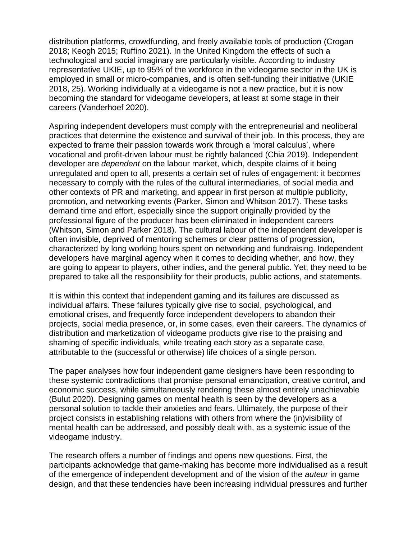distribution platforms, crowdfunding, and freely available tools of production (Crogan 2018; Keogh 2015; Ruffino 2021). In the United Kingdom the effects of such a technological and social imaginary are particularly visible. According to industry representative UKIE, up to 95% of the workforce in the videogame sector in the UK is employed in small or micro-companies, and is often self-funding their initiative (UKIE 2018, 25). Working individually at a videogame is not a new practice, but it is now becoming the standard for videogame developers, at least at some stage in their careers (Vanderhoef 2020).

Aspiring independent developers must comply with the entrepreneurial and neoliberal practices that determine the existence and survival of their job. In this process, they are expected to frame their passion towards work through a 'moral calculus', where vocational and profit-driven labour must be rightly balanced (Chia 2019). Independent developer are *dependent* on the labour market, which, despite claims of it being unregulated and open to all, presents a certain set of rules of engagement: it becomes necessary to comply with the rules of the cultural intermediaries, of social media and other contexts of PR and marketing, and appear in first person at multiple publicity, promotion, and networking events (Parker, Simon and Whitson 2017). These tasks demand time and effort, especially since the support originally provided by the professional figure of the producer has been eliminated in independent careers (Whitson, Simon and Parker 2018). The cultural labour of the independent developer is often invisible, deprived of mentoring schemes or clear patterns of progression, characterized by long working hours spent on networking and fundraising. Independent developers have marginal agency when it comes to deciding whether, and how, they are going to appear to players, other indies, and the general public. Yet, they need to be prepared to take all the responsibility for their products, public actions, and statements.

It is within this context that independent gaming and its failures are discussed as individual affairs. These failures typically give rise to social, psychological, and emotional crises, and frequently force independent developers to abandon their projects, social media presence, or, in some cases, even their careers. The dynamics of distribution and marketization of videogame products give rise to the praising and shaming of specific individuals, while treating each story as a separate case, attributable to the (successful or otherwise) life choices of a single person.

The paper analyses how four independent game designers have been responding to these systemic contradictions that promise personal emancipation, creative control, and economic success, while simultaneously rendering these almost entirely unachievable (Bulut 2020). Designing games on mental health is seen by the developers as a personal solution to tackle their anxieties and fears. Ultimately, the purpose of their project consists in establishing relations with others from where the (in)visibility of mental health can be addressed, and possibly dealt with, as a systemic issue of the videogame industry.

The research offers a number of findings and opens new questions. First, the participants acknowledge that game-making has become more individualised as a result of the emergence of independent development and of the vision of the *auteur* in game design, and that these tendencies have been increasing individual pressures and further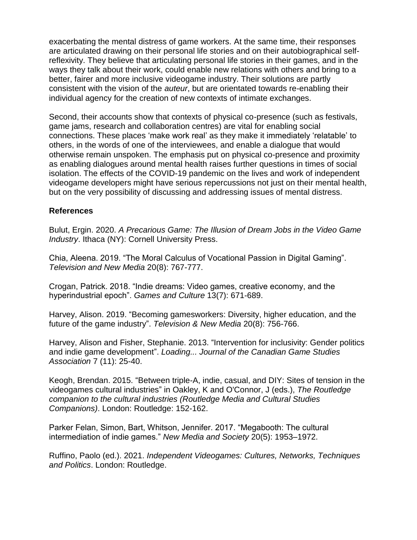exacerbating the mental distress of game workers. At the same time, their responses are articulated drawing on their personal life stories and on their autobiographical selfreflexivity. They believe that articulating personal life stories in their games, and in the ways they talk about their work, could enable new relations with others and bring to a better, fairer and more inclusive videogame industry. Their solutions are partly consistent with the vision of the *auteur*, but are orientated towards re-enabling their individual agency for the creation of new contexts of intimate exchanges.

Second, their accounts show that contexts of physical co-presence (such as festivals, game jams, research and collaboration centres) are vital for enabling social connections. These places 'make work real' as they make it immediately 'relatable' to others, in the words of one of the interviewees, and enable a dialogue that would otherwise remain unspoken. The emphasis put on physical co-presence and proximity as enabling dialogues around mental health raises further questions in times of social isolation. The effects of the COVID-19 pandemic on the lives and work of independent videogame developers might have serious repercussions not just on their mental health, but on the very possibility of discussing and addressing issues of mental distress.

## **References**

Bulut, Ergin. 2020. *A Precarious Game: The Illusion of Dream Jobs in the Video Game Industry*. Ithaca (NY): Cornell University Press.

Chia, Aleena. 2019. "The Moral Calculus of Vocational Passion in Digital Gaming". *Television and New Media* 20(8): 767-777.

Crogan, Patrick. 2018. "Indie dreams: Video games, creative economy, and the hyperindustrial epoch". *Games and Culture* 13(7): 671-689.

Harvey, Alison. 2019. "Becoming gamesworkers: Diversity, higher education, and the future of the game industry". *Television & New Media* 20(8): 756-766.

Harvey, Alison and Fisher, Stephanie. 2013. "Intervention for inclusivity: Gender politics and indie game development". *Loading... Journal of the Canadian Game Studies Association* 7 (11): 25-40.

Keogh, Brendan. 2015. "Between triple-A, indie, casual, and DIY: Sites of tension in the videogames cultural industries" in Oakley, K and O'Connor, J (eds.), *The Routledge companion to the cultural industries (Routledge Media and Cultural Studies Companions)*. London: Routledge: 152-162.

Parker Felan, Simon, Bart, Whitson, Jennifer. 2017. "Megabooth: The cultural intermediation of indie games." *New Media and Society* 20(5): 1953–1972.

Ruffino, Paolo (ed.). 2021. *Independent Videogames: Cultures, Networks, Techniques and Politics*. London: Routledge.